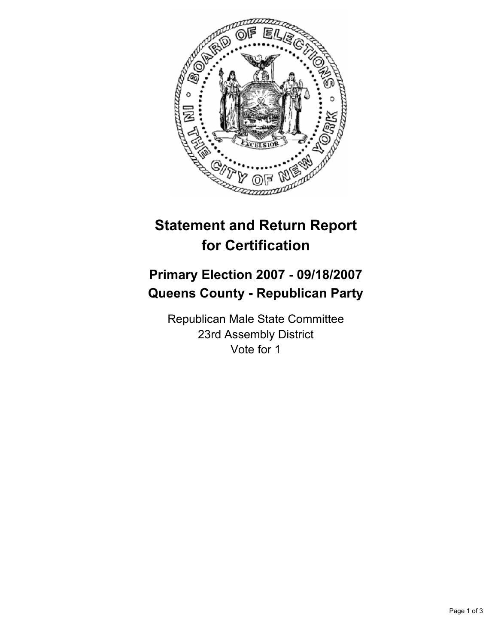

## **Statement and Return Report for Certification**

## **Primary Election 2007 - 09/18/2007 Queens County - Republican Party**

Republican Male State Committee 23rd Assembly District Vote for 1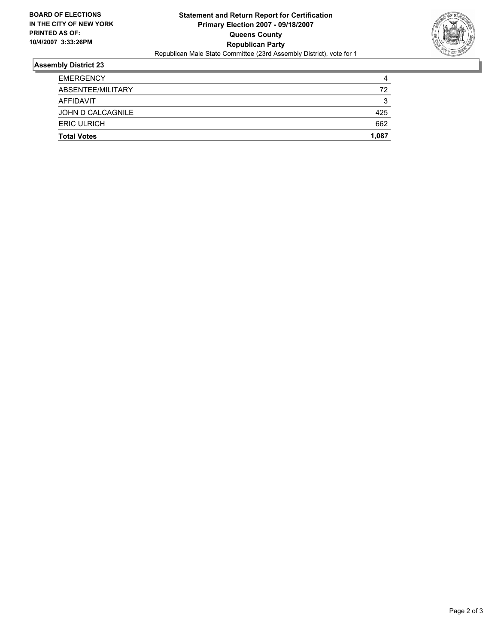

## **Assembly District 23**

| <b>Total Votes</b> | 1,087  |
|--------------------|--------|
| <b>ERIC ULRICH</b> | 662    |
| JOHN D CALCAGNILE  | 425    |
| AFFIDAVIT          | ິ<br>v |
| ABSENTEE/MILITARY  | 72     |
| <b>EMERGENCY</b>   |        |